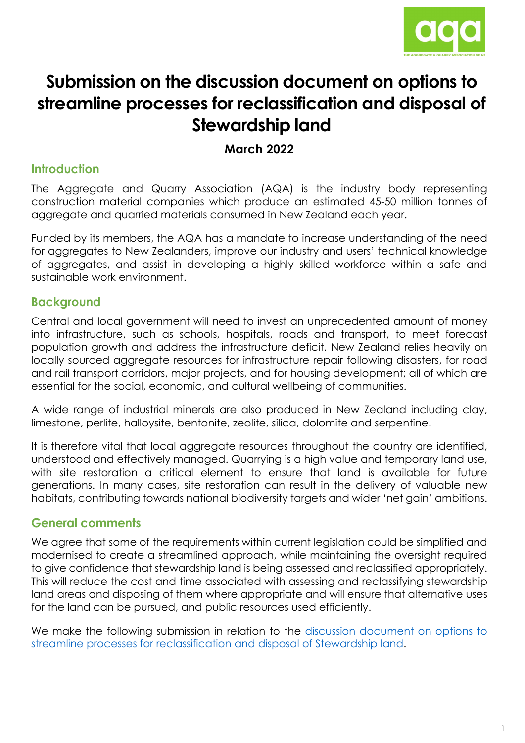

# **Submission on the discussion document on options to streamline processes for reclassification and disposal of Stewardship land**

## **March 2022**

# **Introduction**

The Aggregate and Quarry Association (AQA) is the industry body representing construction material companies which produce an estimated 45-50 million tonnes of aggregate and quarried materials consumed in New Zealand each year.

Funded by its members, the AQA has a mandate to increase understanding of the need for aggregates to New Zealanders, improve our industry and users' technical knowledge of aggregates, and assist in developing a highly skilled workforce within a safe and sustainable work environment.

# **Background**

Central and local government will need to invest an unprecedented amount of money into infrastructure, such as schools, hospitals, roads and transport, to meet forecast population growth and address the infrastructure deficit. New Zealand relies heavily on locally sourced aggregate resources for infrastructure repair following disasters, for road and rail transport corridors, major projects, and for housing development; all of which are essential for the social, economic, and cultural wellbeing of communities.

A wide range of industrial minerals are also produced in New Zealand including clay, limestone, perlite, halloysite, bentonite, zeolite, silica, dolomite and serpentine.

It is therefore vital that local aggregate resources throughout the country are identified, understood and effectively managed. Quarrying is a high value and temporary land use, with site restoration a critical element to ensure that land is available for future generations. In many cases, site restoration can result in the delivery of valuable new habitats, contributing towards national biodiversity targets and wider 'net gain' ambitions.

# **General comments**

We agree that some of the requirements within current legislation could be simplified and modernised to create a streamlined approach, while maintaining the oversight required to give confidence that stewardship land is being assessed and reclassified appropriately. This will reduce the cost and time associated with assessing and reclassifying stewardship land areas and disposing of them where appropriate and will ensure that alternative uses for the land can be pursued, and public resources used efficiently.

We make the following submission in relation to the discussion document on options to [streamline processes for reclassification and disposal of Stewardship land.](https://www.doc.govt.nz/contentassets/da0356b16be34484924dbbf6a2c2c831/stewardship-land-discussion-document-november-2021.pdf)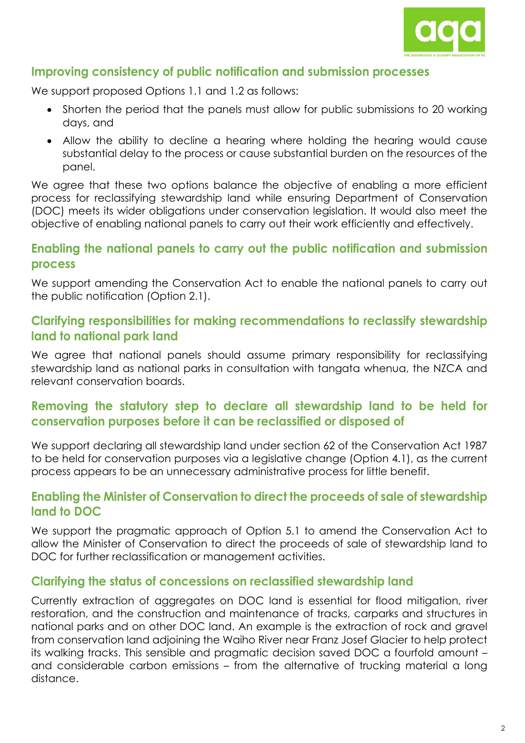

# **Improving consistency of public notification and submission processes**

We support proposed Options 1.1 and 1.2 as follows:

- Shorten the period that the panels must allow for public submissions to 20 working days, and
- Allow the ability to decline a hearing where holding the hearing would cause substantial delay to the process or cause substantial burden on the resources of the panel.

We agree that these two options balance the objective of enabling a more efficient process for reclassifying stewardship land while ensuring Department of Conservation (DOC) meets its wider obligations under conservation legislation. It would also meet the objective of enabling national panels to carry out their work efficiently and effectively.

## **Enabling the national panels to carry out the public notification and submission process**

We support amending the Conservation Act to enable the national panels to carry out the public notification (Option 2.1).

#### **Clarifying responsibilities for making recommendations to reclassify stewardship land to national park land**

We agree that national panels should assume primary responsibility for reclassifying stewardship land as national parks in consultation with tangata whenua, the NZCA and relevant conservation boards.

# **Removing the statutory step to declare all stewardship land to be held for conservation purposes before it can be reclassified or disposed of**

We support declaring all stewardship land under section 62 of the Conservation Act 1987 to be held for conservation purposes via a legislative change (Option 4.1), as the current process appears to be an unnecessary administrative process for little benefit.

#### **Enabling the Minister of Conservation to direct the proceeds of sale of stewardship land to DOC**

We support the pragmatic approach of Option 5.1 to amend the Conservation Act to allow the Minister of Conservation to direct the proceeds of sale of stewardship land to DOC for further reclassification or management activities.

#### **Clarifying the status of concessions on reclassified stewardship land**

Currently extraction of aggregates on DOC land is essential for flood mitigation, river restoration, and the construction and maintenance of tracks, carparks and structures in national parks and on other DOC land. An example is the extraction of rock and gravel from conservation land adjoining the Waiho River near Franz Josef Glacier to help protect its walking tracks. This sensible and pragmatic decision saved DOC a fourfold amount – and considerable carbon emissions – from the alternative of trucking material a long distance.